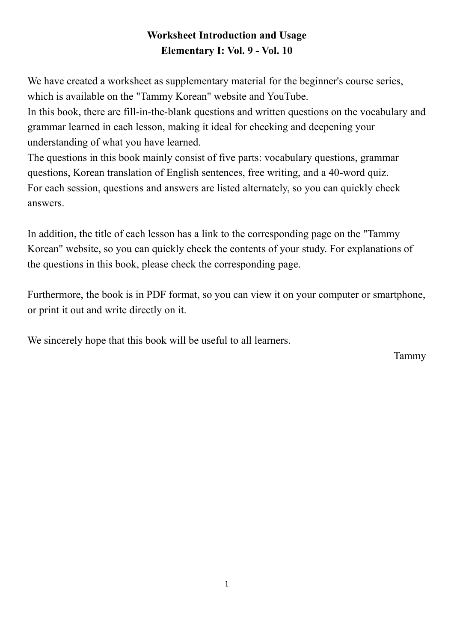## **Worksheet Introduction and Usage Elementary I: Vol. 9 - Vol. 10**

We have created a worksheet as supplementary material for the beginner's course series, which is available on the "Tammy Korean" website and YouTube.

In this book, there are fill-in-the-blank questions and written questions on the vocabulary and grammar learned in each lesson, making it ideal for checking and deepening your understanding of what you have learned.

The questions in this book mainly consist of five parts: vocabulary questions, grammar questions, Korean translation of English sentences, free writing, and a 40-word quiz. For each session, questions and answers are listed alternately, so you can quickly check answers.

In addition, the title of each lesson has a link to the corresponding page on the "Tammy Korean" website, so you can quickly check the contents of your study. For explanations of the questions in this book, please check the corresponding page.

Furthermore, the book is in PDF format, so you can view it on your computer or smartphone, or print it out and write directly on it.

We sincerely hope that this book will be useful to all learners.

Tammy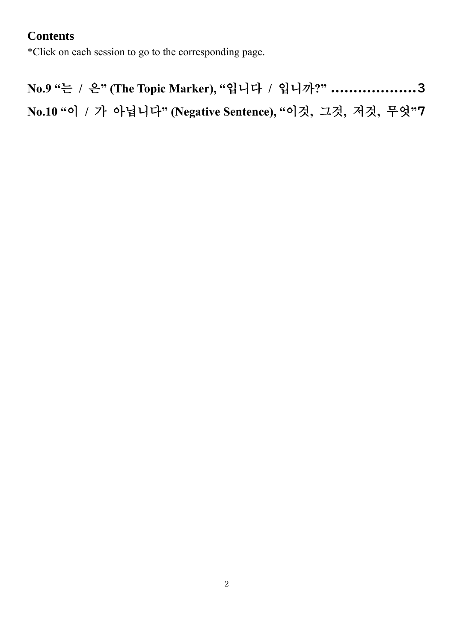# **Contents**

\*Click on each session to go to the corresponding page.

**No.9 "**는 **/** 은**" [\(The Topic Marker\), "](#page-2-0)**입니다 **/** 입니까**?"** ..................[.3](#page-2-0) **No.10 "**이 **/** 가 아닙니다**[" \(Negative Sentence\), "](#page-6-0)**이것**,** 그것**,** 저것**,** 무엇**"**[7](#page-6-0)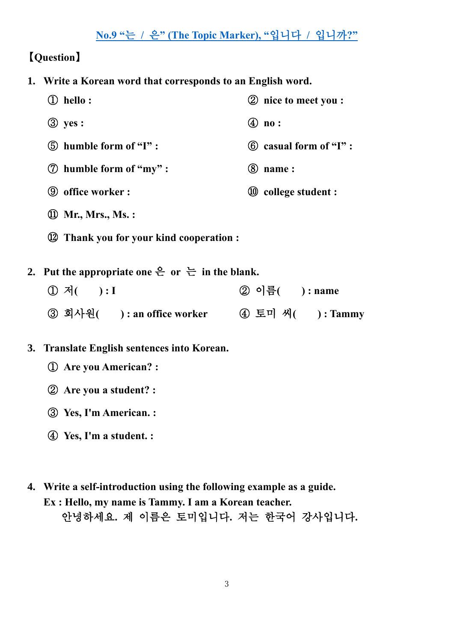### <span id="page-2-0"></span>**No.9 "**는 **/** 은**" [\(The Topic Marker\), "](https://learning-korean.com/elementary/20210308-10753/)**입니다 **/** 입니까**?"**

### 【**Question**】

- **1. Write a Korean word that corresponds to an English word.**
- ① **hello :** 안녕하세요**?** ② **nice to meet you :** 반갑습니다**.** ③ **yes :** 네 ④ **no :** 아니요 ⑤ **humble form of "I" :** 저 ⑥ **casual form of "I" :** 나  $\mathcal{O}$  humble form of "my" **:**  $\mathcal{O}$  name **:** ⑨ **office worker :** 회사원 ⑩ **college student :** 대학생 ⑪ **Mr., Mrs., Ms. :** 씨  $\Omega$  Thank you for your kind cooperation : **2.** Put the appropriate one  $\frac{\mathbf{e}}{\mathbf{e}}$  or  $\frac{\mathbf{e}}{\mathbf{e}}$  in the blank. ① 저**(** 는 **) : I** ② 이름**(** 은 **) : name** 
	- ③ 회사원**(** 은 **) : an office worker** ④ 토미 씨**(** 는 **) : Tammy**

#### **3. Translate English sentences into Korean.**

- $\textcircled{1}$  Are you American? :
- $\oslash$  Are you a student? :
- ③ **Yes, I'm American. :** 네**,** 미국사람입니다**.**
- $\Phi$  Yes, I'm a student. :
- **4. Write a self-introduction using the following example as a guide. Ex : Hello, my name is Tammy. I am a Korean teacher.** 안녕하세요**.** 제 이름은 토미입니다**.** 저는 한국어 강사입니다**.**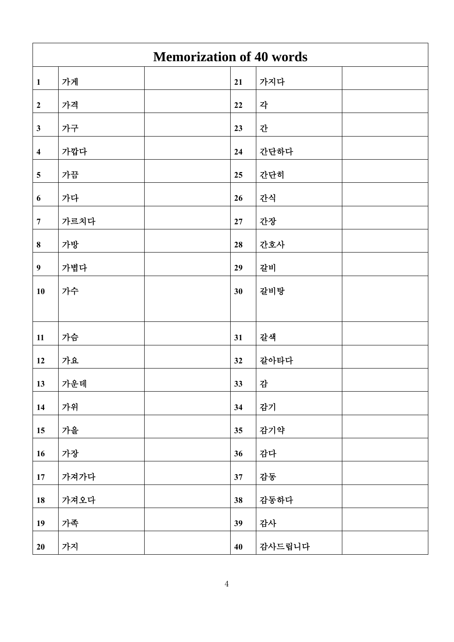|                         | <b>Memorization of 40 words</b> |  |    |        |  |
|-------------------------|---------------------------------|--|----|--------|--|
| $\mathbf{1}$            | 가게                              |  | 21 | 가지다    |  |
| $\boldsymbol{2}$        | 가격                              |  | 22 | 각      |  |
| $\mathbf{3}$            | 가구                              |  | 23 | 간      |  |
| $\overline{\mathbf{4}}$ | 가깝다                             |  | 24 | 간단하다   |  |
| $\overline{\mathbf{5}}$ | 가끔                              |  | 25 | 간단히    |  |
| $\boldsymbol{6}$        | 가다                              |  | 26 | 간식     |  |
| $\overline{7}$          | 가르치다                            |  | 27 | 간장     |  |
| $\boldsymbol{8}$        | 가방                              |  | 28 | 간호사    |  |
| $\boldsymbol{9}$        | 가볍다                             |  | 29 | 갈비     |  |
| 10                      | 가수                              |  | 30 | 갈비탕    |  |
|                         |                                 |  |    |        |  |
| 11                      | 가슴                              |  | 31 | 갈색     |  |
| 12                      | 가요                              |  | 32 | 갈아타다   |  |
| 13                      | 가운데                             |  | 33 | 감      |  |
| 14                      | 가위                              |  | 34 | 감기     |  |
| 15                      | 가을                              |  | 35 | 감기약    |  |
| 16                      | 가장                              |  | 36 | 감다     |  |
| 17                      | 가져가다                            |  | 37 | 감동     |  |
| 18                      | 가져오다                            |  | 38 | 감동하다   |  |
| 19                      | 가족                              |  | 39 | 감사     |  |
| 20                      | 가지                              |  | 40 | 감사드립니다 |  |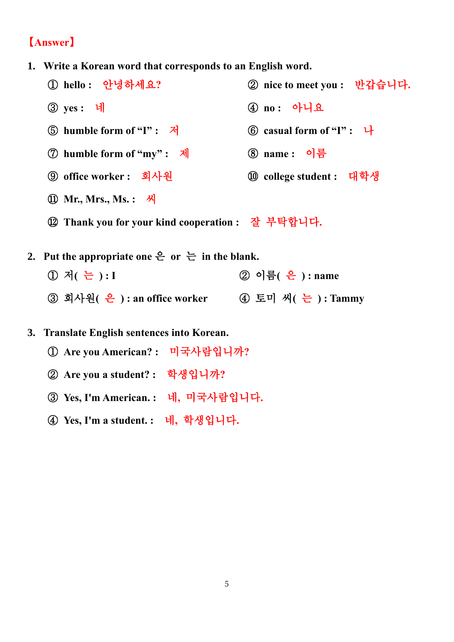### 【**Answer**】

- **1. Write a Korean word that corresponds to an English word.**
- **hello :** 안녕하세요**?** ② **nice to meet you :** 반갑습니다**. yes :** 네 ④ **no :** 아니요 **humble form of "I" :** 저 ⑥ **casual form of "I" :** 나 **humble form of "my" :** 제 ⑧ **name :** 이름 **office worker :** 회사원 ⑩ **college student :** 대학생 **Mr., Mrs., Ms. :** 씨 **Thank you for your kind cooperation :** 잘 부탁합니다**. 2.** Put the appropriate one  $\frac{\mathbf{e}}{\mathbf{e}}$  or  $\frac{\mathbf{e}}{\mathbf{e}}$  in the blank. 저**(** 는 **) : I** ② 이름**(** 은 **) : name**  회사원**(** 은 **) : an office worker** ④ 토미 씨**(** 는 **) : Tammy 3. Translate English sentences into Korean.**
	- **Are you American? :** 미국사람입니까**?**
	- **Are you a student? :** 학생입니까**?**
	- **Yes, I'm American. :** 네**,** 미국사람입니다**.**
	- **Yes, I'm a student. :** 네**,** 학생입니다**.**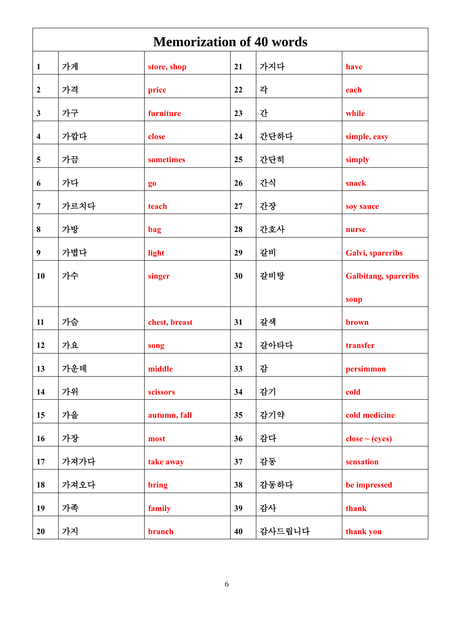| <b>Memorization of 40 words</b> |      |               |                 |        |                              |
|---------------------------------|------|---------------|-----------------|--------|------------------------------|
| $\mathbf{1}$                    | 가게   | store, shop   | 21              | 가지다    | have                         |
| $\boldsymbol{2}$                | 가격   | price         | 22              | 각      | each                         |
| $\mathbf{3}$                    | 가구   | furniture     | 23              | 간      | while                        |
| $\overline{\mathbf{4}}$         | 가깝다  | close         | 24              | 간단하다   | simple, easy                 |
| $\overline{\mathbf{5}}$         | 가끔   | sometimes     | 25              | 간단히    | simply                       |
| 6                               | 가다   | go            | 26              | 간식     | snack                        |
| $\overline{7}$                  | 가르치다 | teach         | 27              | 간장     | soy sauce                    |
| $\bf{8}$                        | 가방   | bag           | 28              | 간호사    | nurse                        |
| $\boldsymbol{9}$                | 가볍다  | light         | 29              | 갈비     | <b>Galvi</b> , spareribs     |
| 10                              | 가수   | singer        | 30              | 갈비탕    | <b>Galbitang</b> , spareribs |
|                                 |      |               |                 |        | soup                         |
| 11                              | 가슴   | chest, breast | 31              | 갈색     | brown                        |
| 12                              | 가요   | song          | 32              | 갈아타다   | transfer                     |
| 13                              | 가운데  | middle        | 33 <sup>3</sup> | 감      | persimmon                    |
| 14                              | 가위   | scissors      | 34              | 감기     | cold                         |
| 15                              | 가을   | autumn, fall  | 35              | 감기약    | cold medicine                |
| 16                              | 가장   | most          | 36              | 감다     | $close \sim (eyes)$          |
| 17                              | 가져가다 | take away     | 37              | 감동     | sensation                    |
| 18                              | 가져오다 | bring         | 38              | 감동하다   | be impressed                 |
| 19                              | 가족   | family        | 39              | 감사     | thank                        |
| 20                              | 가지   | branch        | 40              | 감사드립니다 | thank you                    |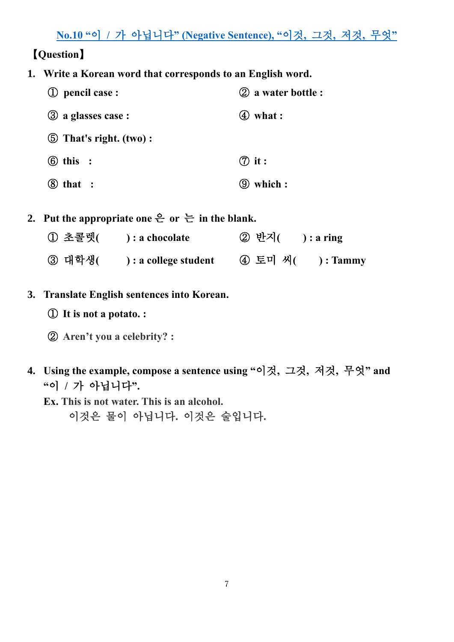<span id="page-6-0"></span>**No.10 "**이 **/** 가 아닙니다**[" \(Negative Sentence\), "](https://learning-korean.com/elementary/20210315-10769/)**이것**,** 그것**,** 저것**,** 무엇**"**

### 【**Question**】

**1. Write a Korean word that corresponds to an English word.** 

| (1) pencil case :             | 2 a water bottle : |
|-------------------------------|--------------------|
| (3) a glasses case :          | $(4)$ what :       |
| $\circ$ That's right. (two) : |                    |
| $6$ this :                    | $\circled{7}$ it : |
| (8)<br>that :                 | which :            |

- **2.** Put the appropriate one  $\frac{\mathbf{e}}{\mathbf{e}}$  or  $\frac{\mathbf{e}}{\mathbf{e}}$  in the blank.
	- ① 초콜렛**( ) : a chocolate** ② 반지**( ) : a ring** ③ 대학생**( ) : a college student** ④ 토미 씨**( ) : Tammy**
- **3. Translate English sentences into Korean.**
	- ① **It is not a potato. :**
	- ② **Aren't you a celebrity? :**
- **4. Using the example, compose a sentence using "**이것**,** 그것**,** 저것**,** 무엇**" and "**이 **/** 가 아닙니다**".**
	- **Ex. This is not water. This is an alcohol.**
		- 이것은 물이 아닙니다**.** 이것은 술입니다**.**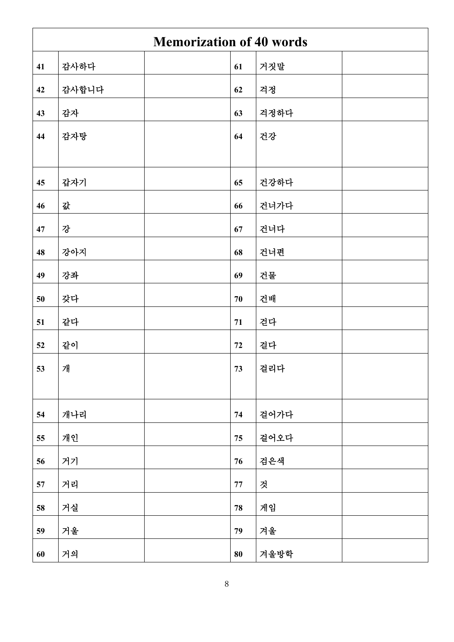|    | <b>Memorization of 40 words</b> |  |      |      |  |  |
|----|---------------------------------|--|------|------|--|--|
| 41 | 감사하다                            |  | 61   | 거짓말  |  |  |
| 42 | 감사합니다                           |  | 62   | 걱정   |  |  |
| 43 | 감자                              |  | 63   | 걱정하다 |  |  |
| 44 | 감자탕                             |  | 64   | 건강   |  |  |
| 45 | 갑자기                             |  | 65   | 건강하다 |  |  |
| 46 | 값                               |  | 66   | 건너가다 |  |  |
| 47 | 강                               |  | 67   | 건너다  |  |  |
| 48 | 강아지                             |  | 68   | 건너편  |  |  |
| 49 | 강좌                              |  | 69   | 건물   |  |  |
| 50 | 갓다                              |  | $70$ | 건배   |  |  |
| 51 | 같다                              |  | 71   | 걷다   |  |  |
| 52 | 같이                              |  | 72   | 걸다   |  |  |
| 53 | 개                               |  | 73   | 걸리다  |  |  |
|    |                                 |  |      |      |  |  |
| 54 | 개나리                             |  | 74   | 걸어가다 |  |  |
| 55 | 개인                              |  | 75   | 걸어오다 |  |  |
| 56 | 거기                              |  | 76   | 검은색  |  |  |
| 57 | 거리                              |  | 77   | 것    |  |  |
| 58 | 거실                              |  | 78   | 게임   |  |  |
| 59 | 거울                              |  | 79   | 겨울   |  |  |
| 60 | 거의                              |  | 80   | 겨울방학 |  |  |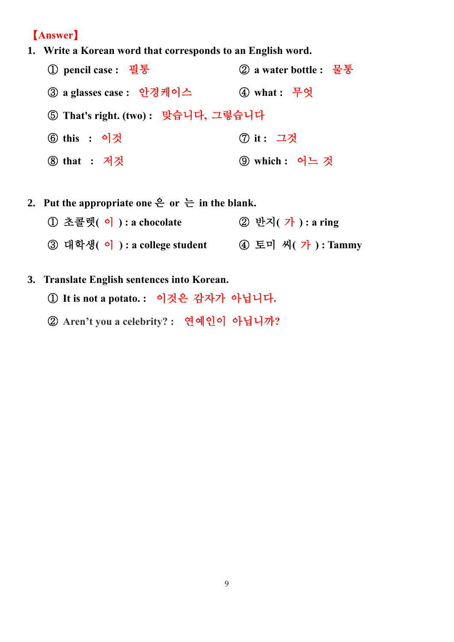## 【**Answer**】

- **1. Write a Korean word that corresponds to an English word.** 
	- **pencil case :** 필통 ② **a water bottle :** 물통 **a glasses case :** 안경케이스 ④ **what :** 무엇 **That's right. (two) :** 맞습니다**,** 그렇습니다 **this :** 이것 ⑦ **it :** 그것 **that :** 저것 ⑨ **which :** 어느 것
- **2.** Put the appropriate one  $\frac{\mathbf{e}}{\mathbf{e}}$  or  $\frac{\mathbf{e}}{\mathbf{e}}$  in the blank. 초콜렛**(** 이 **) : a chocolate** ② 반지**(** 가 **) : a ring** 대학생**(** 이 **) : a college student** ④ 토미 씨**(** 가 **) : Tammy**
- **3. Translate English sentences into Korean.**
	- **It is not a potato. :** 이것은 감자가 아닙니다**.**
	- **Aren't you a celebrity? :** 연예인이 아닙니까**?**